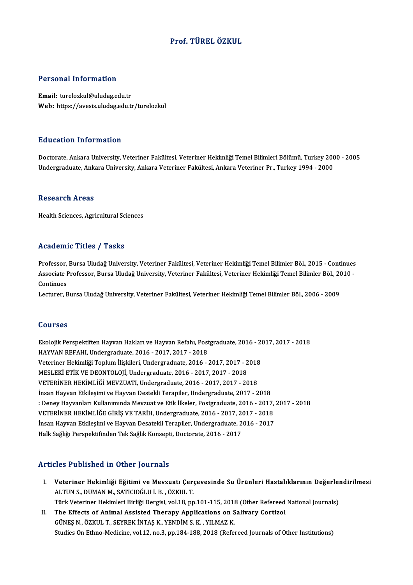### Prof. TÜRELÖZKUL

#### Personal Information

Email: turelozkul@uludag.edu.tr Web: https://avesis.uludag.edu.tr/turelozkul

#### Education Information

Education Information<br>Doctorate, Ankara University, Veteriner Fakültesi, Veteriner Hekimliği Temel Bilimleri Bölümü, Turkey 2000 - 2005<br>Undergraduate Ankara University, Ankara Veteriner Fakültesi, Ankara Veteriner Pr. Turk 2 u u su saradı 1111 studeren<br>Doctorate, Ankara University, Veteriner Fakültesi, Veteriner Hekimliği Temel Bilimleri Bölümü, Turkey 200<br>Undergraduate, Ankara University, Ankara Veteriner Fakültesi, Ankara Veteriner Pr., Tu Undergraduate, Ankara University, Ankara Veteriner Fakültesi, Ankara Veteriner Pr., Turkey 1994 - 2000<br>Research Areas

Health Sciences, Agricultural Sciences

### Academic Titles / Tasks

Academic Titles / Tasks<br>Professor, Bursa Uludağ University, Veteriner Fakültesi, Veteriner Hekimliği Temel Bilimler Böl., 2015 - Continues<br>Assesiste Professor, Bursa Uludağ University, Veteriner Fakültesi, Veteriner Hekiml AssociateMiller († 1925)<br>Professor, Bursa Uludağ University, Veteriner Fakültesi, Veteriner Hekimliği Temel Bilimler Böl., 2015 - Continues<br>Associate Professor, Bursa Uludağ University, Veteriner Fakültesi, Veteriner Hekim Professor,<br>Associate I<br>Continues<br>Lecturer E Associate Professor, Bursa Uludağ University, Veteriner Fakültesi, Veteriner Hekimliği Temel Bilimler Böl., 20<br>Continues<br>Lecturer, Bursa Uludağ University, Veteriner Fakültesi, Veteriner Hekimliği Temel Bilimler Böl., 2006

Lecturer, Bursa Uludağ University, Veteriner Fakültesi, Veteriner Hekimliği Temel Bilimler Böl., 2006 - 2009<br>Courses

Courses<br>Ekolojik Perspektiften Hayvan Hakları ve Hayvan Refahı, Postgraduate, 2016 - 2017, 2017 - 2018<br>HAYVAN REFAHL Undergraduate, 2016 - 2017, 2017, 2019 HAYVAN REFAHI, Undergraduate, 2016 - 2017, 2017 - 2018<br>Veteriner Hekimliği Toplum İlişkileri, Undergraduate, 2016 - 2017, 2017 - 2018 Ekolojik Perspektiften Hayvan Hakları ve Hayvan Refahı, Postgraduate, 2016 - 2<br>HAYVAN REFAHI, Undergraduate, 2016 - 2017, 2017 - 2018<br>Veteriner Hekimliği Toplum İlişkileri, Undergraduate, 2016 - 2017, 2017 - 2018<br>MESLEKİ E MESLEKİETİKVEDEONTOLOJİ,Undergraduate,2016 -2017,2017 -2018 VETERİNER HEKİMLİĞİ MEVZUATI, Undergraduate, 2016 - 2017, 2017 - 2018 MESLEKİ ETİK VE DEONTOLOJİ, Undergraduate, 2016 - 2017, 2017 - 2018<br>VETERİNER HEKİMLİĞİ MEVZUATI, Undergraduate, 2016 - 2017, 2017 - 2018<br>İnsan Hayvan Etkileşimi ve Hayvan Destekli Terapiler, Undergraduate, 2017 - 2018<br>: D : Deney Hayvanları Kullanımında Mevzuat ve Etik İlkeler, Postgraduate, 2016 - 2017, 2017 - 2018 İnsan Hayvan Etkileşimi ve Hayvan Destekli Terapiler, Undergraduate, 2017 - 2018<br>: Deney Hayvanları Kullanımında Mevzuat ve Etik İlkeler, Postgraduate, 2016 - 2017,<br>VETERİNER HEKİMLİĞE GİRİŞ VE TARİH, Undergraduate, 2016 -: Deney Hayvanları Kullanımında Mevzuat ve Etik İlkeler, Postgraduate, 2016 - 2017,<br>VETERİNER HEKİMLİĞE GİRİŞ VE TARİH, Undergraduate, 2016 - 2017, 2017 - 2018<br>İnsan Hayvan Etkileşimi ve Hayvan Desatekli Terapiler, Undergr VETERİNER HEKİMLİĞE GİRİŞ VE TARİH, Undergraduate, 2016 - 2017, 2(<br>İnsan Hayvan Etkileşimi ve Hayvan Desatekli Terapiler, Undergraduate, 2<br>Halk Sağlığı Perspektifinden Tek Sağlık Konsepti, Doctorate, 2016 - 2017 Halk Sağlığı Perspektifinden Tek Sağlık Konsepti, Doctorate, 2016 - 2017<br>Articles Published in Other Journals

- I. Veteriner Hekimliği Eğitimi ve Mevzuatı Çerçevesinde Su Ürünleri Hastalıklarının Değerlendirilmesi<br>I. Meteriner Hekimliği Eğitimi ve Mevzuatı Çerçevesinde Su Ürünleri Hastalıklarının Değerlendirilmesi ALTUN S., DUMAN M., SATICIOĞLU İ. B., ÖZKUL T.<br>ALTUN S., DUMAN M., SATICIOĞLU İ. B., ÖZKUL T.<br>Türk Veteriner Hekimleri Birliği Dergisi, vel 18. nu Veteriner Hekimliği Eğitimi ve Mevzuatı Çerçevesinde Su Ürünleri Hastalıklarının Değerleı<br>ALTUN S., DUMAN M., SATICIOĞLU İ. B. , ÖZKUL T.<br>Türk Veteriner Hekimleri Birliği Dergisi, vol.18, pp.101-115, 2018 (Other Refereed N ALTUN S., DUMAN M., SATICIOĞLU İ. B. , ÖZKUL T.<br>Türk Veteriner Hekimleri Birliği Dergisi, vol.18, pp.101-115, 2018 (Other Refereed<br>II. The Effects of Animal Assisted Therapy Applications on Salivary Cortizol<br>CÜNES N. ÖZKUL
- Türk Veteriner Hekimleri Birliği Dergisi, vol.18, pp.101-115, 2011<br>The Effects of Animal Assisted Therapy Applications on S<br>GÜNEŞ N., ÖZKUL T., SEYREK İNTAŞ K., YENDİM S. K. , YILMAZ K.<br>Studies On Ethne Medisine vol.12, ne GÜNEŞ N., ÖZKUL T., SEYREK İNTAŞ K., YENDİM S. K. , YILMAZ K.<br>Studies On Ethno-Medicine, vol.12, no.3, pp.184-188, 2018 (Refereed Journals of Other Institutions)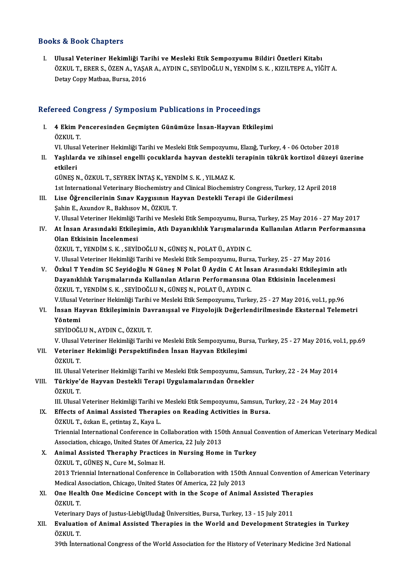### Books&Book Chapters

I. Ulusal Veteriner Hekimliği Tarihi ve Mesleki Etik Sempozyumu Bildiri Özetleri Kitabı tə & Boon emapters<br>Ulusal Veteriner Hekimliği Tarihi ve Mesleki Etik Sempozyumu Bildiri Özetleri Kitabı<br>ÖZKUL T., ERER S., ÖZEN A., YAŞAR A., AYDIN C., SEYİDOĞLU N., YENDİM S. K. , KIZILTEPE A., YİĞİT A.<br>Petav Cany Mathas, Ulusal Veteriner Hekimliği Ta<br>ÖZKUL T., ERER S., ÖZEN A., YAŞA<br>Detay Copy Matbaa, Bursa, 2016

# Detay Copy Matbaa, Bursa, 2016<br>Refereed Congress / Symposium Publications in Proceedings

efereed Congress / Symposium Publications in Proceedings<br>I. 4 Ekim Penceresinden Geçmişten Günümüze İnsan-Hayvan Etkileşimi<br>ÖZKULT I. 4 Ekim Penceresinden Geçmişten Günümüze İnsan-Hayvan Etkileşimi<br>ÖZKUL T. 4 Ekim Penceresinden Geçmişten Günümüze İnsan-Hayvan Etkileşimi<br>ÖZKUL T.<br>VI. Ulusal Veteriner Hekimliği Tarihi ve Mesleki Etik Sempozyumu, Elazığ, Turkey, 4 - 06 October 2018<br>Yaskılarda ve gibinesl engelli sesuklarda bayya

II. Yaşlılarda ve zihinsel engelli çocuklarda hayvan destekli terapinin tükrük kortizol düzeyi üzerine<br>etkileri VI. Ulusa<br><mark>Yaşlılar</mark><br>etkileri<br>Cünes M etkileri<br>GÜNEŞ N., ÖZKUL T., SEYREK İNTAŞ K., YENDİM S. K. , YILMAZ K.<br>1st International Veterinary Biochemistry and Clinical Biochemistry Congress, Turkey, 12 April 2018<br>Lise Öğrengilerinin Sınav Kavgyanın Hayyan Destekli

GÜNEŞN.,ÖZKUL T.,SEYREKİNTAŞK.,YENDİMS.K. ,YILMAZK.

- III. Lise Öğrencilerinin Sınav Kaygısının Hayvan Destekli Terapi ile Giderilmesi<br>Şahin E., Axundov R., Bakhısov M., ÖZKUL T. 1st International Veterinary Biochemistry an<br>Lise Öğrencilerinin Sınav Kaygısının Ha<br>Şahin E., Axundov R., Bakhısov M., ÖZKUL T.<br>V. Ulusel Veteriner Hekimliği Teribi ve Mesle Lise Öğrencilerinin Sınav Kaygısının Hayvan Destekli Terapi ile Giderilmesi<br>Şahin E., Axundov R., Bakhısov M., ÖZKUL T.<br>V. Ulusal Veteriner Hekimliği Tarihi ve Mesleki Etik Sempozyumu, Bursa, Turkey, 25 May 2016 - 27 May 2
- IV. At İnsan Arasındaki Etkileşimin, Atlı Dayanıklılık Yarışmalarında Kullanılan Atların Performansına<br>Olan Etkisinin İncelenmesi V. Ulusal Veteriner Hekimliği T<br>At İnsan Arasındaki Etkileş<br>Olan Etkisinin İncelenmesi ÖZKUL T.,YENDİMS.K. ,SEYİDOĞLUN.,GÜNEŞN.,POLATÜ.,AYDINC.

V. Ulusal Veteriner Hekimliği Tarihi ve Mesleki Etik Sempozyumu, Bursa, Turkey, 25 - 27 May 2016

V. Özkul T YendimSC Seyidoğlu N Güneş N Polat Ü Aydin C At İnsan Arasındaki Etkileşimin atlı V. Ulusal Veteriner Hekimliği Tarihi ve Mesleki Etik Sempozyumu, Bursa, Turkey, 25 - 27 May 2016<br>Özkul T Yendim SC Seyidoğlu N Güneş N Polat Ü Aydin C At İnsan Arasındaki Etkileşimin<br>Dayanıklılık Yarışmalarında Kullanılan Özkul T Yendim SC Seyidoğlu N Güneş N Polat Ü Aydin C At İns<br>Dayanıklılık Yarışmalarında Kullanılan Atların Performansına<br>ÖZKUL T., YENDİM S. K. , SEYİDOĞLU N., GÜNEŞ N., POLAT Ü., AYDIN C.<br>V.Ulusal Veteriner Hakimliği Tar Dayanıklılık Yarışmalarında Kullanılan Atların Performansına Olan Etkisinin İncelenmesi<br>ÖZKUL T., YENDİM S. K. , SEYİDOĞLU N., GÜNEŞ N., POLAT Ü., AYDIN C.<br>V.Ulusal Veteriner Hekimliği Tarihi ve Mesleki Etik Sempozyumu, Tu

ÖZKUL T., YENDİM S. K. , SEYİDOĞLU N., GÜNEŞ N., POLAT Ü., AYDIN C.<br>V.Ulusal Veteriner Hekimliği Tarihi ve Mesleki Etik Sempozyumu, Turkey, 25 - 27 May 2016, vol.1, pp.96<br>VI. İnsan Hayvan Etkileşiminin Davranışsal ve F V.Ulusal V<br><mark>İnsan Ha</mark><br>Yöntemi<br>s<u>evino</u>či

SEYİDOĞLUN.,AYDINC.,ÖZKUL T.

Yöntemi<br>SEYİDOĞLU N., AYDIN C., ÖZKUL T.<br>V. Ulusal Veteriner Hekimliği Tarihi ve Mesleki Etik Sempozyumu, Bursa, Turkey, 25 - 27 May 2016, vol.1, pp.69<br>Veteriner Hekimliği Berspektifinden İnsan Hayyan Etkilesimi V. Ulusal <mark>V</mark><br>Veterine<br>ÖZKUL T.<br>III. Ulusal

VII. Veteriner Hekimliği Perspektifinden İnsan Hayvan Etkileşimi<br>ÖZKUL T.

III. Ulusal Veteriner Hekimliği Tarihi ve Mesleki Etik Sempozyumu, Samsun, Turkey, 22 - 24 May 2014

ÖZKUL T.<br>III. Ulusal Veteriner Hekimliği Tarihi ve Mesleki Etik Sempozyumu, Sams<br>VIII. Türkiye'de Hayvan Destekli Terapi Uygulamalarından Örnekler<br>ÖZKUL T III. Ulusal<br>**Türkiye'**<br>ÖZKUL T.<br>III. Ulusal

ÖZKUL T.<br>III. Ulusal Veteriner Hekimliği Tarihi ve Mesleki Etik Sempozyumu, Samsun, Turkey, 22 - 24 May 2014

IX. Effects of Animal Assisted Therapies on Reading Activities in Bursa. ÖZKUL T.,özkanE., çetintaş Z.,Kaya L. Effects of Animal Assisted Therapies on Reading Activities in Bursa.<br>ÖZKUL T., özkan E., çetintaş Z., Kaya L.<br>Triennial International Conference in Collaboration with 150th Annual Convention of American Veterinary Medical<br> ÖZKUL T., özkan E., çetintaş Z., Kaya L.<br>Triennial International Conference in Collaboration with 150<br>Association, chicago, United States Of America, 22 July 2013<br>Animal Assisted Thoronby Prastisse in Nursing Home Triennial International Conference in Collaboration with 150th Annual C<br>Association, chicago, United States Of America, 22 July 2013<br>X. Animal Assisted Theraphy Practices in Nursing Home in Turkey<br>ÖZVILT, CÜNES N. Cure M.

Association, chicago, United States Of Ar<br>**Animal Assisted Theraphy Practice:**<br>ÖZKUL T., GÜNEŞ N., Cure M., Solmaz H.<br>2012 Trionnial International Conference Animal Assisted Theraphy Practices in Nursing Home in Turkey<br>ÖZKUL T., GÜNEŞ N., Cure M., Solmaz H.<br>2013 Triennial International Conference in Collaboration with 150th Annual Convention of American Veterinary<br>Medical Accoc ÖZKUL T., GÜNEŞ N., Cure M., Solmaz H.<br>2013 Triennial International Conference in Collaboration with 150th<br>Medical Association, Chicago, United States Of America, 22 July 2013<br>One Health One Medicine Concent with in the Ss Medical Association, Chicago, United States Of America, 22 July 2013

### XI. One Health One Medicine Concept with in the Scope of Animal Assisted Therapies ÖZKUL T. One Health One Medicine Concept with in the Scope of Animal Assisted Ther<br>ÖZKUL T.<br>Veterinary Days of Justus-LiebigUludağ Üniversities, Bursa, Turkey, 13 - 15 July 2011<br>Evaluation of Animal Assisted Theranies in the World

ÖZKUL T.<br>Veterinary Days of Justus-LiebigUludağ Üniversities, Bursa, Turkey, 13 - 15 July 2011<br>XII. Evaluation of Animal Assisted Therapies in the World and Development Strategies in Turkey<br>ÖZKUL T Veterinar<br>**Evaluation**<br>ÖZKUL T.<br><sup>20th İntel</sup> Evaluation of Animal Assisted Therapies in the World and Development Strategies in Turkey<br>ÖZKUL T.<br>39th İnternational Congress of the World Association for the History of Veterinary Medicine 3rd National